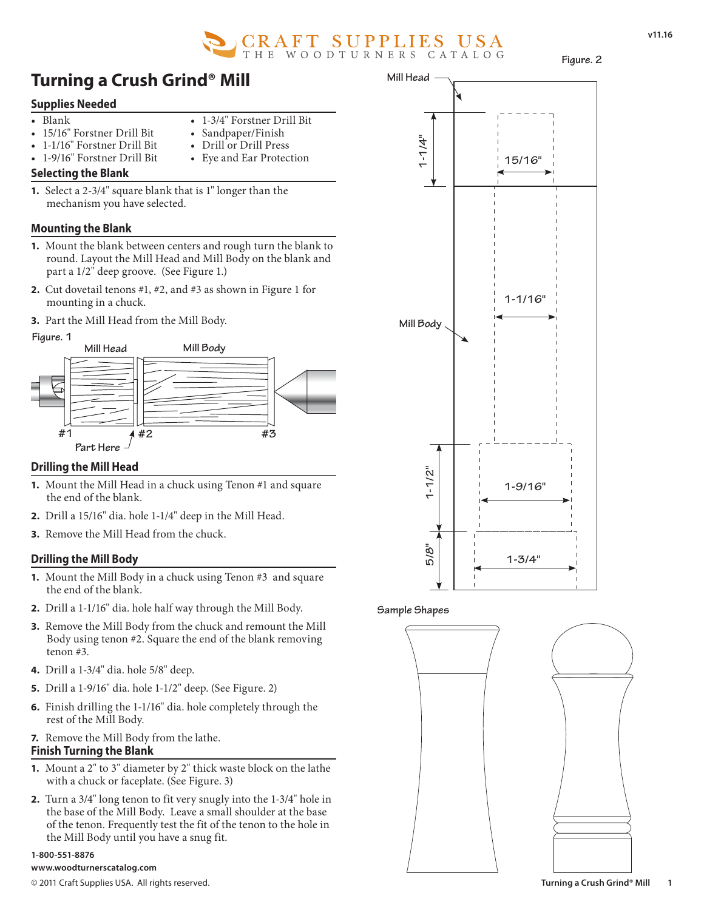

**Figure. 2**

# **Turning a Crush Grind® Mill**

• 1-3/4" Forstner Drill Bit Sandpaper/Finish • Drill or Drill Press • Eye and Ear Protection

## **Supplies Needed**

- Blank
- 15/16" Forstner Drill Bit
- 1-1/16" Forstner Drill Bit
- 1-9/16" Forstner Drill Bit
- **Selecting the Blank**
- **1.** Select a 2-3/4" square blank that is 1" longer than the mechanism you have selected.

## **Mounting the Blank**

- **1.** Mount the blank between centers and rough turn the blank to round. Layout the Mill Head and Mill Body on the blank and part a 1/2" deep groove. (See Figure 1.)
- **2.** Cut dovetail tenons #1, #2, and #3 as shown in Figure 1 for mounting in a chuck.

### **3.** Part the Mill Head from the Mill Body.



## **Drilling the Mill Head**

- **1.** Mount the Mill Head in a chuck using Tenon #1 and square the end of the blank.
- **2.** Drill a 15/16" dia. hole 1-1/4" deep in the Mill Head.
- **3.** Remove the Mill Head from the chuck.

## **Drilling the Mill Body**

- **1.** Mount the Mill Body in a chuck using Tenon #3 and square the end of the blank.
- **2.** Drill a 1-1/16" dia. hole half way through the Mill Body.
- **3.** Remove the Mill Body from the chuck and remount the Mill Body using tenon #2. Square the end of the blank removing tenon #3.
- **4.** Drill a 1-3/4" dia. hole 5/8" deep.
- **5.** Drill a 1-9/16" dia. hole 1-1/2" deep. (See Figure. 2)
- **6.** Finish drilling the 1-1/16" dia. hole completely through the rest of the Mill Body.
- **7.** Remove the Mill Body from the lathe. **Finish Turning the Blank**
- **1.** Mount a 2" to 3" diameter by 2" thick waste block on the lathe with a chuck or faceplate. (See Figure. 3)
- **2.** Turn a 3/4" long tenon to fit very snugly into the 1-3/4" hole in the base of the Mill Body. Leave a small shoulder at the base of the tenon. Frequently test the fit of the tenon to the hole in the Mill Body until you have a snug fit.

#### **1-800-551-8876**

© 2011 Craft Supplies USA. All rights reserved. **Turning a Crush Grind® Mill www.woodturnerscatalog.com**